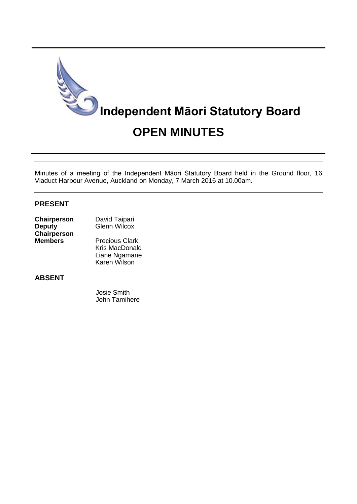

Minutes of a meeting of the Independent Māori Statutory Board held in the Ground floor, 16 Viaduct Harbour Avenue, Auckland on Monday, 7 March 2016 at 10.00am.

### **PRESENT**

| Chairperson    | David Taipari         |
|----------------|-----------------------|
| <b>Deputy</b>  | <b>Glenn Wilcox</b>   |
| Chairperson    |                       |
| <b>Members</b> | <b>Precious Clark</b> |
|                | <b>Kris MacDonald</b> |
|                | Liane Ngamane         |

## **ABSENT**

 Josie Smith John Tamihere

Karen Wilson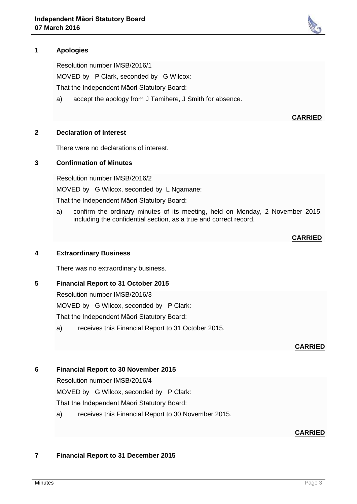# **1 Apologies**

Resolution number IMSB/2016/1

MOVED by P Clark, seconded by G Wilcox:

That the Independent Māori Statutory Board:

a) accept the apology from J Tamihere, J Smith for absence.

### **2 Declaration of Interest**

There were no declarations of interest.

### **3 Confirmation of Minutes**

Resolution number IMSB/2016/2

MOVED by G Wilcox, seconded by L Ngamane:

That the Independent Māori Statutory Board:

a) confirm the ordinary minutes of its meeting, held on Monday, 2 November 2015, including the confidential section, as a true and correct record.

# **CARRIED**

**CARRIED**

### **4 Extraordinary Business**

There was no extraordinary business.

### **5 Financial Report to 31 October 2015**

Resolution number IMSB/2016/3 MOVED by G Wilcox, seconded by P Clark: That the Independent Māori Statutory Board:

a) receives this Financial Report to 31 October 2015.

#### **CARRIED**

### **6 Financial Report to 30 November 2015**

Resolution number IMSB/2016/4

MOVED by G Wilcox, seconded by P Clark:

That the Independent Māori Statutory Board:

a) receives this Financial Report to 30 November 2015.

### **CARRIED**

# **7 Financial Report to 31 December 2015**

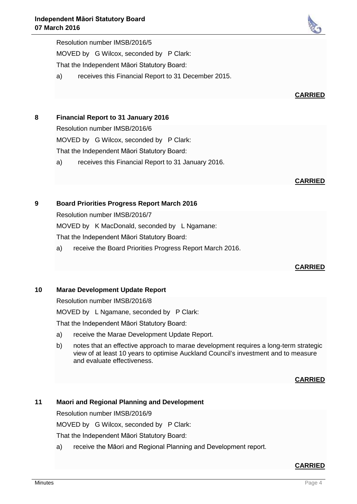Resolution number IMSB/2016/5 MOVED by G Wilcox, seconded by P Clark: That the Independent Māori Statutory Board:

- a) receives this Financial Report to 31 December 2015.
- **8 Financial Report to 31 January 2016**

Resolution number IMSB/2016/6

MOVED by G Wilcox, seconded by P Clark:

That the Independent Māori Statutory Board:

a) receives this Financial Report to 31 January 2016.

# **9 Board Priorities Progress Report March 2016**

Resolution number IMSB/2016/7

MOVED by K MacDonald, seconded by L Ngamane:

That the Independent Māori Statutory Board:

a) receive the Board Priorities Progress Report March 2016.

# **10 Marae Development Update Report**

Resolution number IMSB/2016/8

MOVED by L Ngamane, seconded by P Clark:

That the Independent Māori Statutory Board:

- a) receive the Marae Development Update Report.
- b) notes that an effective approach to marae development requires a long-term strategic view of at least 10 years to optimise Auckland Council's investment and to measure and evaluate effectiveness.

**CARRIED**

# **11 Maori and Regional Planning and Development**

Resolution number IMSB/2016/9

MOVED by G Wilcox, seconded by P Clark:

That the Independent Māori Statutory Board:

a) receive the Māori and Regional Planning and Development report.

# **CARRIED**



# **CARRIED**

**CARRIED**

**CARRIED**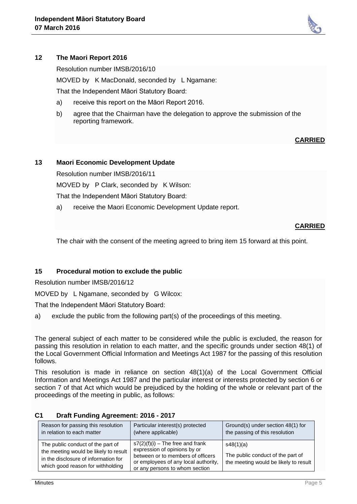### **12 The Maori Report 2016**

Resolution number IMSB/2016/10

MOVED by K MacDonald, seconded by L Ngamane:

That the Independent Māori Statutory Board:

- a) receive this report on the Māori Report 2016.
- b) agree that the Chairman have the delegation to approve the submission of the reporting framework.

### **CARRIED**

### **13 Maori Economic Development Update**

Resolution number IMSB/2016/11

MOVED by P Clark, seconded by K Wilson:

That the Independent Māori Statutory Board:

a) receive the Maori Economic Development Update report.

### **CARRIED**

The chair with the consent of the meeting agreed to bring item 15 forward at this point.

### **15 Procedural motion to exclude the public**

Resolution number IMSB/2016/12

MOVED by L Ngamane, seconded by G Wilcox:

That the Independent Māori Statutory Board:

a) exclude the public from the following part(s) of the proceedings of this meeting.

The general subject of each matter to be considered while the public is excluded, the reason for passing this resolution in relation to each matter, and the specific grounds under section 48(1) of the Local Government Official Information and Meetings Act 1987 for the passing of this resolution follows.

This resolution is made in reliance on section 48(1)(a) of the Local Government Official Information and Meetings Act 1987 and the particular interest or interests protected by section 6 or section 7 of that Act which would be prejudiced by the holding of the whole or relevant part of the proceedings of the meeting in public, as follows:

| Reason for passing this resolution                                                                                                                      | Particular interest(s) protected                                                                                                                                                  | Ground(s) under section 48(1) for                                                       |
|---------------------------------------------------------------------------------------------------------------------------------------------------------|-----------------------------------------------------------------------------------------------------------------------------------------------------------------------------------|-----------------------------------------------------------------------------------------|
| in relation to each matter                                                                                                                              | (where applicable)                                                                                                                                                                | the passing of this resolution                                                          |
| The public conduct of the part of<br>the meeting would be likely to result<br>in the disclosure of information for<br>which good reason for withholding | $s7(2)(f)(i)$ – The free and frank<br>expression of opinions by or<br>between or to members of officers<br>or employees of any local authority,<br>or any persons to whom section | s48(1)(a)<br>The public conduct of the part of<br>the meeting would be likely to result |

#### **C1 Draft Funding Agreement: 2016 - 2017**

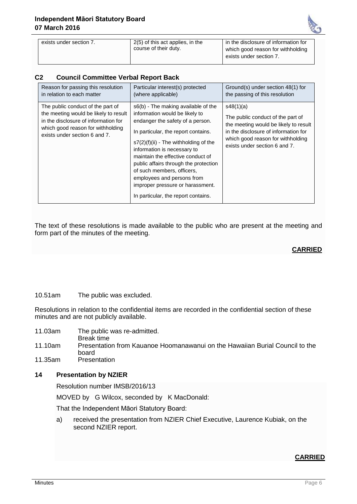

| exists under section 7. | 2(5) of this act applies, in the | in the disclosure of information for |
|-------------------------|----------------------------------|--------------------------------------|
|                         | course of their duty.            | which good reason for withholding    |
|                         |                                  | exists under section 7.              |
|                         |                                  |                                      |

### **C2 Council Committee Verbal Report Back**

| Reason for passing this resolution                                                                                                                                                       | Particular interest(s) protected                                                                                                                                                                                                                                                                                                                                                                                                                | Ground(s) under section 48(1) for                                                                                                                                                                     |
|------------------------------------------------------------------------------------------------------------------------------------------------------------------------------------------|-------------------------------------------------------------------------------------------------------------------------------------------------------------------------------------------------------------------------------------------------------------------------------------------------------------------------------------------------------------------------------------------------------------------------------------------------|-------------------------------------------------------------------------------------------------------------------------------------------------------------------------------------------------------|
| in relation to each matter                                                                                                                                                               | (where applicable)                                                                                                                                                                                                                                                                                                                                                                                                                              | the passing of this resolution                                                                                                                                                                        |
| The public conduct of the part of<br>the meeting would be likely to result<br>in the disclosure of information for<br>which good reason for withholding<br>exists under section 6 and 7. | s6(b) - The making available of the<br>information would be likely to<br>endanger the safety of a person.<br>In particular, the report contains.<br>$s7(2)(f)(ii)$ - The withholding of the<br>information is necessary to<br>maintain the effective conduct of<br>public affairs through the protection<br>of such members, officers,<br>employees and persons from<br>improper pressure or harassment.<br>In particular, the report contains. | s48(1)(a)<br>The public conduct of the part of<br>the meeting would be likely to result<br>in the disclosure of information for<br>which good reason for withholding<br>exists under section 6 and 7. |

The text of these resolutions is made available to the public who are present at the meeting and form part of the minutes of the meeting.

### **CARRIED**

#### 10.51am The public was excluded.

Resolutions in relation to the confidential items are recorded in the confidential section of these minutes and are not publicly available.

- 11.03am The public was re-admitted.
- Break time 11.10am Presentation from Kauanoe Hoomanawanui on the Hawaiian Burial Council to the board
- 11.35am Presentation

### **14 Presentation by NZIER**

Resolution number IMSB/2016/13

MOVED by G Wilcox, seconded by K MacDonald:

That the Independent Māori Statutory Board:

a) received the presentation from NZIER Chief Executive, Laurence Kubiak, on the second NZIER report.

### **CARRIED**